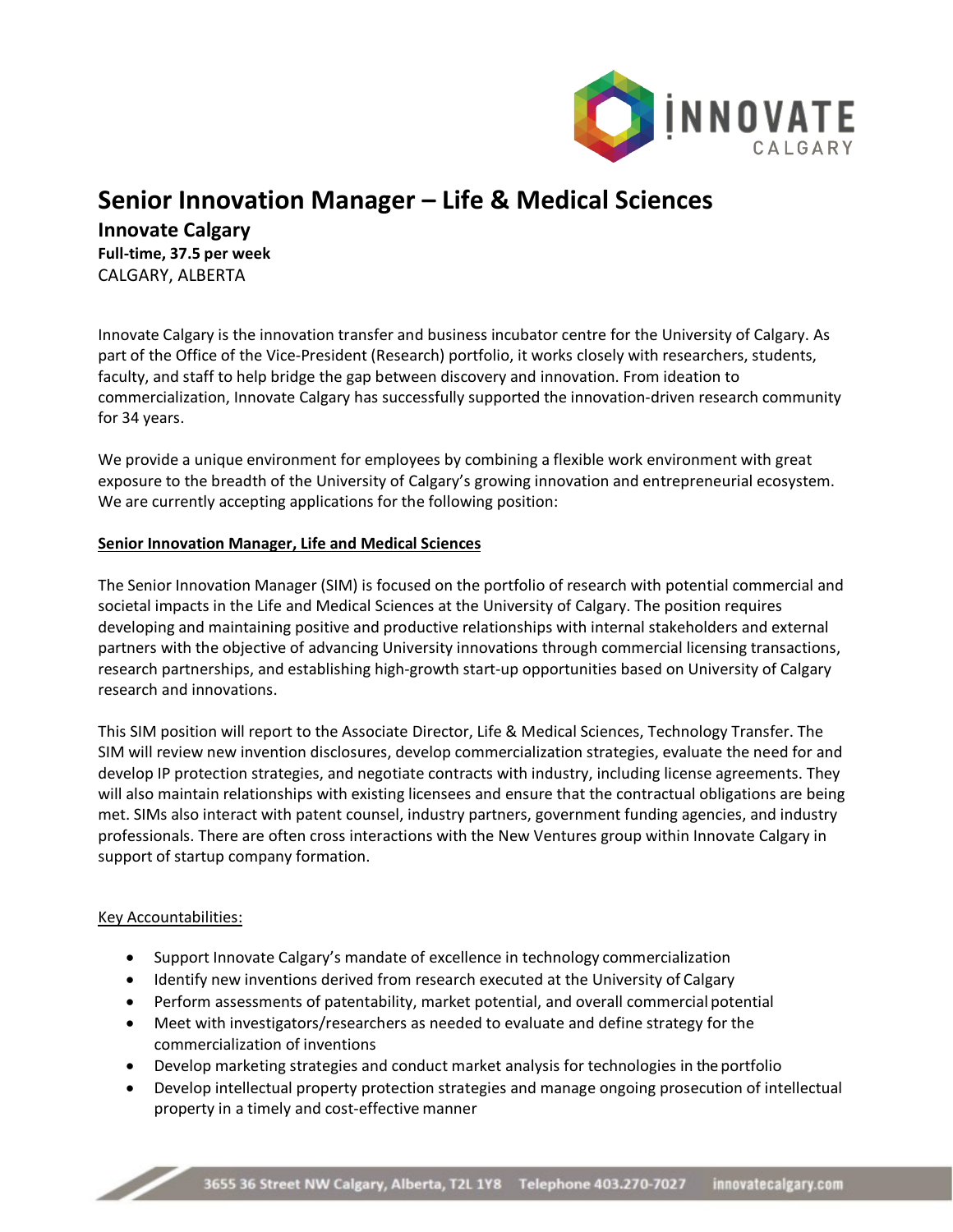

# **Senior Innovation Manager – Life & Medical Sciences**

**Innovate Calgary Full-time, 37.5 per week** CALGARY, ALBERTA

Innovate Calgary is the innovation transfer and business incubator centre for the University of Calgary. As part of the Office of the Vice-President (Research) portfolio, it works closely with researchers, students, faculty, and staff to help bridge the gap between discovery and innovation. From ideation to commercialization, Innovate Calgary has successfully supported the innovation-driven research community for 34 years.

We provide a unique environment for employees by combining a flexible work environment with great exposure to the breadth of the University of Calgary's growing innovation and entrepreneurial ecosystem. We are currently accepting applications for the following position:

## **Senior Innovation Manager, Life and Medical Sciences**

The Senior Innovation Manager (SIM) is focused on the portfolio of research with potential commercial and societal impacts in the Life and Medical Sciences at the University of Calgary. The position requires developing and maintaining positive and productive relationships with internal stakeholders and external partners with the objective of advancing University innovations through commercial licensing transactions, research partnerships, and establishing high-growth start-up opportunities based on University of Calgary research and innovations.

This SIM position will report to the Associate Director, Life & Medical Sciences, Technology Transfer. The SIM will review new invention disclosures, develop commercialization strategies, evaluate the need for and develop IP protection strategies, and negotiate contracts with industry, including license agreements. They will also maintain relationships with existing licensees and ensure that the contractual obligations are being met. SIMs also interact with patent counsel, industry partners, government funding agencies, and industry professionals. There are often cross interactions with the New Ventures group within Innovate Calgary in support of startup company formation.

## Key Accountabilities:

Z,

- Support Innovate Calgary's mandate of excellence in technology commercialization
- Identify new inventions derived from research executed at the University of Calgary
- Perform assessments of patentability, market potential, and overall commercial potential
- Meet with investigators/researchers as needed to evaluate and define strategy for the commercialization of inventions
- Develop marketing strategies and conduct market analysis for technologies in the portfolio
- Develop intellectual property protection strategies and manage ongoing prosecution of intellectual property in a timely and cost-effective manner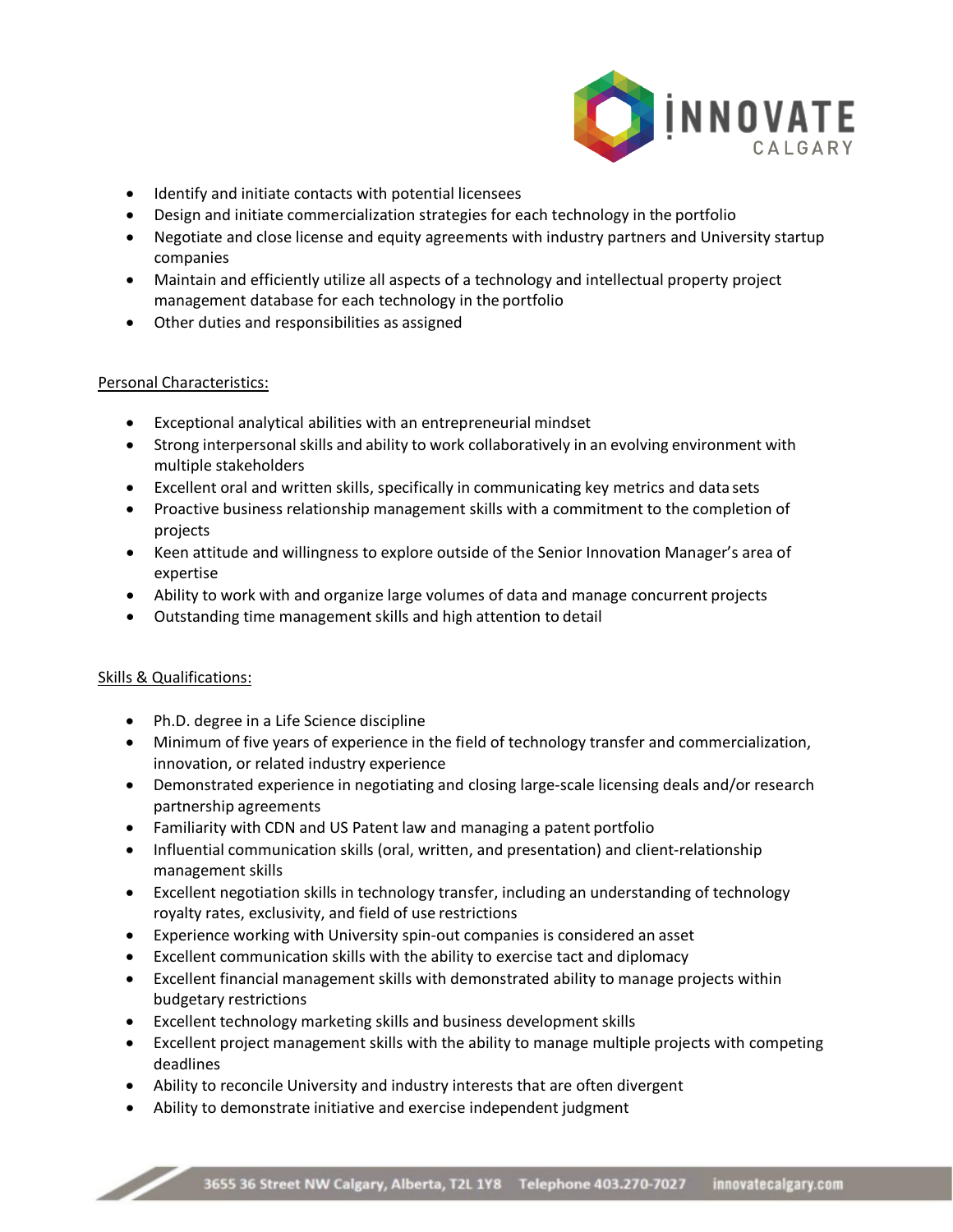

- Identify and initiate contacts with potential licensees
- Design and initiate commercialization strategies for each technology in the portfolio
- Negotiate and close license and equity agreements with industry partners and University startup companies
- Maintain and efficiently utilize all aspects of a technology and intellectual property project management database for each technology in the portfolio
- Other duties and responsibilities as assigned

### Personal Characteristics:

- Exceptional analytical abilities with an entrepreneurial mindset
- Strong interpersonalskills and ability to work collaboratively in an evolving environment with multiple stakeholders
- Excellent oral and written skills, specifically in communicating key metrics and data sets
- Proactive business relationship management skills with a commitment to the completion of projects
- Keen attitude and willingness to explore outside of the Senior Innovation Manager's area of expertise
- Ability to work with and organize large volumes of data and manage concurrent projects
- Outstanding time management skills and high attention to detail

### Skills & Qualifications:

 $\overline{\phantom{a}}$ 

- Ph.D. degree in a Life Science discipline
- Minimum of five years of experience in the field of technology transfer and commercialization, innovation, or related industry experience
- Demonstrated experience in negotiating and closing large-scale licensing deals and/or research partnership agreements
- Familiarity with CDN and US Patent law and managing a patent portfolio
- Influential communication skills (oral, written, and presentation) and client-relationship management skills
- Excellent negotiation skills in technology transfer, including an understanding of technology royalty rates, exclusivity, and field of use restrictions
- Experience working with University spin-out companies is considered an asset
- Excellent communication skills with the ability to exercise tact and diplomacy
- Excellent financial management skills with demonstrated ability to manage projects within budgetary restrictions
- Excellent technology marketing skills and business development skills
- Excellent project management skills with the ability to manage multiple projects with competing deadlines
- Ability to reconcile University and industry interests that are often divergent
- Ability to demonstrate initiative and exercise independent judgment